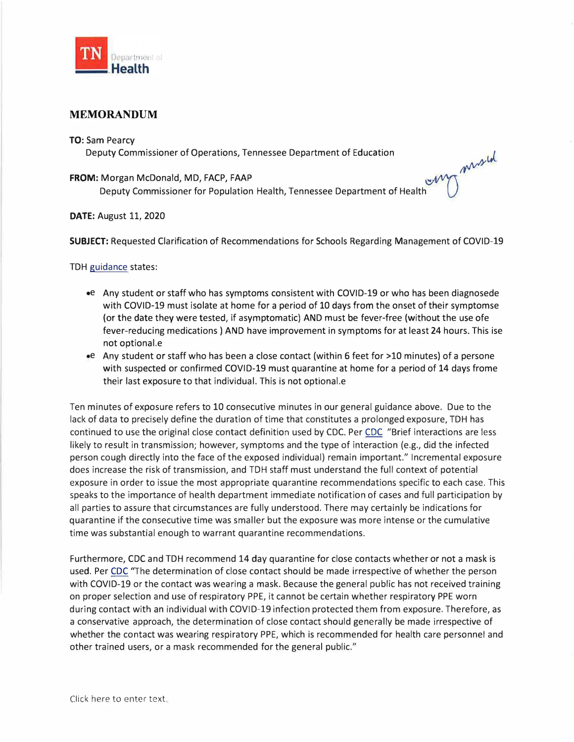

## **MEMORANDUM**

## **TO:** Sam Pearcy

Deputy Commissioner of Operations, Tennessee Department of Education

## **FROM:** Morgan McDonald, MD, FACP, FAAP

 $\mathbb{U}(\mathbb{V})$ Deputy Commissioner for Population Health, Tennessee Department of Health

## **DATE:** August 11, 2020

**SUBJECT:** Requested Clarification of Recommendations for Schools Regarding Management of COVID-19

 $\mathcal{N}^{\vee}$ 

TDH guidance states:

- •e Any student or staff who has symptoms consistent with COVID-19 or who has been diagnosede with COVID-19 must isolate at home for a period of 10 days from the onset of their symptomse (or the date they were tested, if asymptomatic) AND must be fever-free (without the use ofe fever-reducing medications) AND have improvement in symptoms for at least 24 hours. This ise not optional.e
- •e Any student or staff who has been a close contact (within 6 feet for >10 minutes) of a persone with suspected or confirmed COVID-19 must quarantine at home for a period of 14 days frome their last exposure to that individual. This is not optional.e

Ten minutes of exposure refers to 10 consecutive minutes in our general guidance above. Due to the lack of data to precisely define the duration of time that constitutes a prolonged exposure, TDH has continued to use the original close contact definition used by CDC. Per CDC "Brief interactions are less likely to result in transmission; however, symptoms and the type of interaction (e.g., did the infected person cough directly into the face of the exposed individual) remain important." Incremental exposure does increase the risk of transmission, and TDH staff must understand the full context of potential exposure in order to issue the most appropriate quarantine recommendations specific to each case. This speaks to the importance of health department immediate notification of cases and full participation by all parties to assure that circumstances are fully understood. There may certainly be indications for quarantine if the consecutive time was smaller but the exposure was more intense or the cumulative time was substantial enough to warrant quarantine recommendations.

Furthermore, CDC and TDH recommend 14 day quarantine for close contacts whether or not a mask is used. Per CDC "The determination of close contact should be made irrespective of whether the person with COVID-19 or the contact was wearing a mask. Because the general public has not received training on proper selection and use of respiratory PPE, it cannot be certain whether respiratory PPE worn during contact with an individual with COVID-19 infection protected them from exposure. Therefore, as a conservative approach, the determination of close contact should generally be made irrespective of whether the contact was wearing respiratory PPE, which is recommended for health care personnel and other trained users, or a mask recommended for the general public."